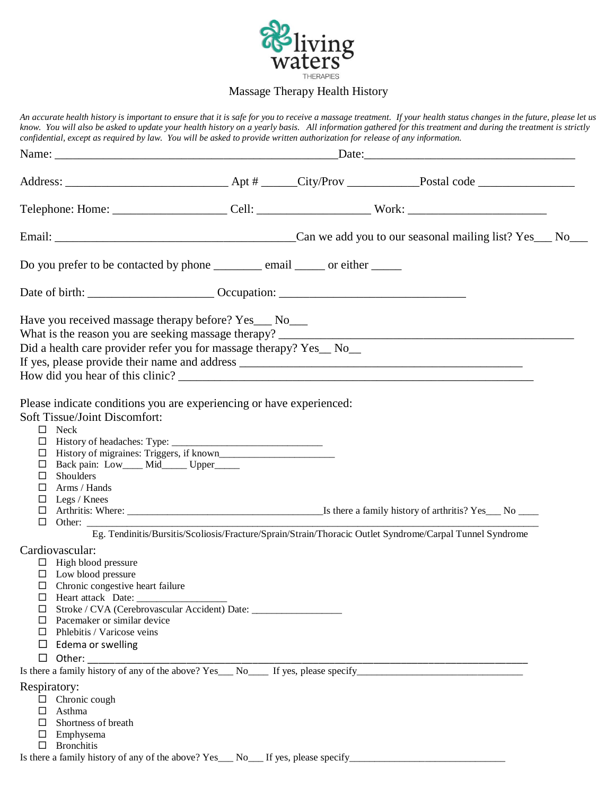

## Massage Therapy Health History

*An accurate health history is important to ensure that it is safe for you to receive a massage treatment. If your health status changes in the future, please let us know. You will also be asked to update your health history on a yearly basis. All information gathered for this treatment and during the treatment is strictly confidential, except as required by law. You will be asked to provide written authorization for release of any information.* Name: <u>Date:</u> Address: \_\_\_\_\_\_\_\_\_\_\_\_\_\_\_\_\_\_\_\_\_\_\_\_\_\_\_ Apt # \_\_\_\_\_\_City/Prov \_\_\_\_\_\_\_\_\_\_\_\_Postal code \_\_\_\_\_\_\_\_\_\_\_\_\_\_\_\_ Telephone: Home: \_\_\_\_\_\_\_\_\_\_\_\_\_\_\_\_\_\_\_\_\_\_\_\_\_Cell: \_\_\_\_\_\_\_\_\_\_\_\_\_\_\_\_\_\_\_\_\_\_\_\_\_\_\_\_\_\_\_\_\_ Work: \_\_\_\_\_\_\_\_\_\_\_\_\_\_\_\_\_\_\_\_\_\_ Email: \_\_\_\_\_\_\_\_\_\_\_\_\_\_\_\_\_\_\_\_\_\_\_\_\_\_\_\_\_\_\_\_\_\_\_\_\_\_\_\_Can we add you to our seasonal mailing list? Yes\_\_\_ No\_\_\_ Do you prefer to be contacted by phone \_\_\_\_\_\_\_\_\_ email \_\_\_\_\_\_ or either Date of birth: \_\_\_\_\_\_\_\_\_\_\_\_\_\_\_\_\_\_\_\_\_ Occupation: \_\_\_\_\_\_\_\_\_\_\_\_\_\_\_\_\_\_\_\_\_\_\_\_\_\_\_\_\_\_\_ Have you received massage therapy before? Yes\_\_\_ No\_\_\_ What is the reason you are seeking massage therapy? Did a health care provider refer you for massage therapy? Yes\_ No\_\_ If yes, please provide their name and address \_\_\_\_\_\_\_\_\_\_\_\_\_\_\_\_\_\_\_\_\_\_\_\_\_\_\_\_\_\_\_\_\_\_\_\_\_\_\_\_\_\_\_\_\_\_\_ How did you hear of this clinic? \_\_\_\_\_\_\_\_\_\_\_\_\_\_\_\_\_\_\_\_\_\_\_\_\_\_\_\_\_\_\_\_\_\_\_\_\_\_\_\_\_\_\_\_\_\_\_\_\_\_\_\_\_\_\_\_\_\_\_ Please indicate conditions you are experiencing or have experienced: Soft Tissue/Joint Discomfort:  $\Box$  Neck  $\Box$  History of headaches: Type:  $\Box$  History of migraines: Triggers, if known\_\_\_\_\_\_\_\_\_\_\_\_\_\_\_\_\_\_\_\_\_\_\_ Back pain: Low\_\_\_\_ Mid\_\_\_\_\_ Upper\_\_\_\_\_  $\square$  Shoulders Arms / Hands  $\Box$  Legs / Knees Arthritis: Where: \_\_\_\_\_\_\_\_\_\_\_\_\_\_\_\_\_\_\_\_\_\_\_\_\_\_\_\_\_\_\_\_\_\_\_\_\_\_\_Is there a family history of arthritis? Yes\_\_\_ No \_\_\_\_  $\Box$  Other: Eg. Tendinitis/Bursitis/Scoliosis/Fracture/Sprain/Strain/Thoracic Outlet Syndrome/Carpal Tunnel Syndrome Cardiovascular:  $\Box$  High blood pressure  $\square$  Low blood pressure  $\Box$  Chronic congestive heart failure  $\Box$  Heart attack Date: Stroke / CVA (Cerebrovascular Accident) Date: \_\_\_\_\_\_\_\_\_\_\_\_\_\_\_\_\_\_  $\Box$  Pacemaker or similar device  $\Box$  Phlebitis / Varicose veins  $\Box$  Edema or swelling Other: \_\_\_\_\_\_\_\_\_\_\_\_\_\_\_\_\_\_\_\_\_\_\_\_\_\_\_\_\_\_\_\_\_\_\_\_\_\_\_\_\_\_\_\_\_\_\_\_\_\_\_\_\_\_\_\_\_\_\_\_\_\_\_\_\_\_\_\_\_\_\_\_\_\_\_\_\_\_\_\_ Is there a family history of any of the above? Yes\_\_\_ No\_\_\_\_ If yes, please specify\_\_\_\_\_\_\_\_\_\_\_\_\_\_\_\_\_\_\_\_\_\_\_\_\_\_\_\_\_\_\_\_\_ Respiratory: □ Chronic cough  $\Box$  Asthma  $\Box$  Shortness of breath  $\square$  Emphysema  $\square$  Bronchitis